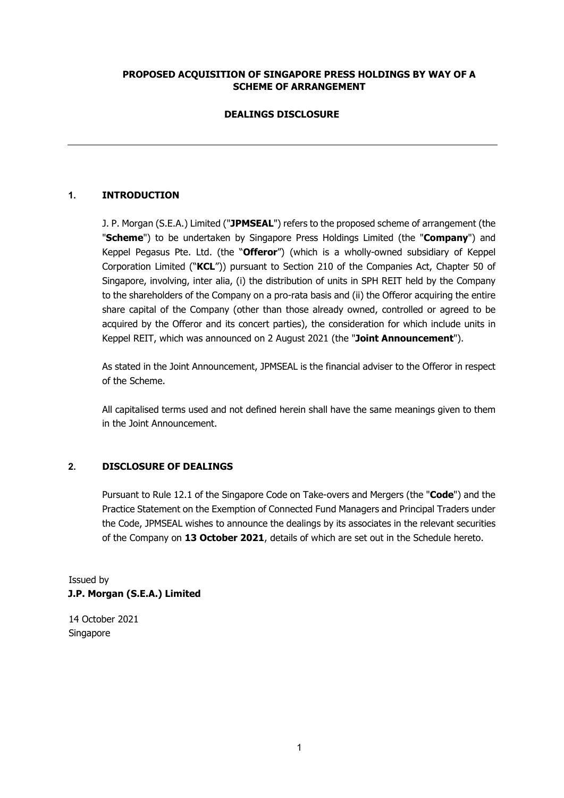# **PROPOSED ACQUISITION OF SINGAPORE PRESS HOLDINGS BY WAY OF A SCHEME OF ARRANGEMENT**

# **DEALINGS DISCLOSURE**

# **1. INTRODUCTION**

J. P. Morgan (S.E.A.) Limited ("**JPMSEAL**") refers to the proposed scheme of arrangement (the "**Scheme**") to be undertaken by Singapore Press Holdings Limited (the "**Company**") and Keppel Pegasus Pte. Ltd. (the "**Offeror**") (which is a wholly-owned subsidiary of Keppel Corporation Limited ("**KCL**")) pursuant to Section 210 of the Companies Act, Chapter 50 of Singapore, involving, inter alia, (i) the distribution of units in SPH REIT held by the Company to the shareholders of the Company on a pro-rata basis and (ii) the Offeror acquiring the entire share capital of the Company (other than those already owned, controlled or agreed to be acquired by the Offeror and its concert parties), the consideration for which include units in Keppel REIT, which was announced on 2 August 2021 (the "**Joint Announcement**").

As stated in the Joint Announcement, JPMSEAL is the financial adviser to the Offeror in respect of the Scheme.

All capitalised terms used and not defined herein shall have the same meanings given to them in the Joint Announcement.

### **2. DISCLOSURE OF DEALINGS**

Pursuant to Rule 12.1 of the Singapore Code on Take-overs and Mergers (the "**Code**") and the Practice Statement on the Exemption of Connected Fund Managers and Principal Traders under the Code, JPMSEAL wishes to announce the dealings by its associates in the relevant securities of the Company on **13 October 2021**, details of which are set out in the Schedule hereto.

Issued by **J.P. Morgan (S.E.A.) Limited** 

14 October 2021 Singapore